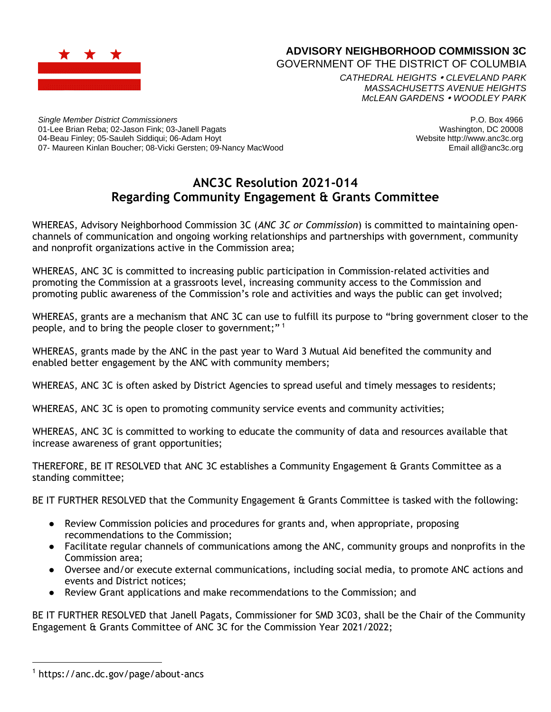

## **ADVISORY NEIGHBORHOOD COMMISSION 3C**

GOVERNMENT OF THE DISTRICT OF COLUMBIA

*CATHEDRAL HEIGHTS CLEVELAND PARK MASSACHUSETTS AVENUE HEIGHTS McLEAN GARDENS WOODLEY PARK*

*Single Member District Commissioners* 01-Lee Brian Reba; 02-Jason Fink; 03-Janell Pagats 04-Beau Finley; 05-Sauleh Siddiqui; 06-Adam Hoyt 07- Maureen Kinlan Boucher; 08-Vicki Gersten; 09-Nancy MacWood

P.O. Box 4966 Washington, DC 20008 Website http://www.anc3c.org Email all@anc3c.org

## **ANC3C Resolution 2021-014 Regarding Community Engagement & Grants Committee**

WHEREAS, Advisory Neighborhood Commission 3C (*ANC 3C or Commission*) is committed to maintaining openchannels of communication and ongoing working relationships and partnerships with government, community and nonprofit organizations active in the Commission area;

WHEREAS, ANC 3C is committed to increasing public participation in Commission-related activities and promoting the Commission at a grassroots level, increasing community access to the Commission and promoting public awareness of the Commission's role and activities and ways the public can get involved;

WHEREAS, grants are a mechanism that ANC 3C can use to fulfill its purpose to "bring government closer to the people, and to bring the people closer to government;"<sup>1</sup>

WHEREAS, grants made by the ANC in the past year to Ward 3 Mutual Aid benefited the community and enabled better engagement by the ANC with community members;

WHEREAS, ANC 3C is often asked by District Agencies to spread useful and timely messages to residents;

WHEREAS, ANC 3C is open to promoting community service events and community activities;

WHEREAS, ANC 3C is committed to working to educate the community of data and resources available that increase awareness of grant opportunities;

THEREFORE, BE IT RESOLVED that ANC 3C establishes a Community Engagement & Grants Committee as a standing committee;

BE IT FURTHER RESOLVED that the Community Engagement & Grants Committee is tasked with the following:

- Review Commission policies and procedures for grants and, when appropriate, proposing recommendations to the Commission;
- Facilitate regular channels of communications among the ANC, community groups and nonprofits in the Commission area;
- Oversee and/or execute external communications, including social media, to promote ANC actions and events and District notices;
- Review Grant applications and make recommendations to the Commission; and

BE IT FURTHER RESOLVED that Janell Pagats, Commissioner for SMD 3C03, shall be the Chair of the Community Engagement & Grants Committee of ANC 3C for the Commission Year 2021/2022;

<sup>1</sup> https://anc.dc.gov/page/about-ancs